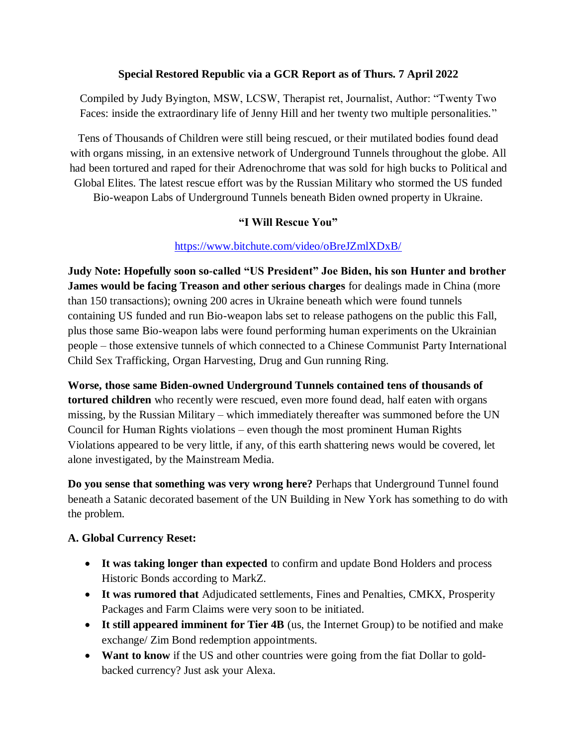### **Special Restored Republic via a GCR Report as of Thurs. 7 April 2022**

Compiled by Judy Byington, MSW, LCSW, Therapist ret, Journalist, Author: "Twenty Two Faces: inside the extraordinary life of Jenny Hill and her twenty two multiple personalities."

Tens of Thousands of Children were still being rescued, or their mutilated bodies found dead with organs missing, in an extensive network of Underground Tunnels throughout the globe. All had been tortured and raped for their Adrenochrome that was sold for high bucks to Political and Global Elites. The latest rescue effort was by the Russian Military who stormed the US funded

Bio-weapon Labs of Underground Tunnels beneath Biden owned property in Ukraine.

## **"I Will Rescue You"**

### <https://www.bitchute.com/video/oBreJZmlXDxB/>

**Judy Note: Hopefully soon so-called "US President" Joe Biden, his son Hunter and brother James would be facing Treason and other serious charges** for dealings made in China (more than 150 transactions); owning 200 acres in Ukraine beneath which were found tunnels containing US funded and run Bio-weapon labs set to release pathogens on the public this Fall, plus those same Bio-weapon labs were found performing human experiments on the Ukrainian people – those extensive tunnels of which connected to a Chinese Communist Party International Child Sex Trafficking, Organ Harvesting, Drug and Gun running Ring.

**Worse, those same Biden-owned Underground Tunnels contained tens of thousands of tortured children** who recently were rescued, even more found dead, half eaten with organs missing, by the Russian Military – which immediately thereafter was summoned before the UN Council for Human Rights violations – even though the most prominent Human Rights Violations appeared to be very little, if any, of this earth shattering news would be covered, let alone investigated, by the Mainstream Media.

**Do you sense that something was very wrong here?** Perhaps that Underground Tunnel found beneath a Satanic decorated basement of the UN Building in New York has something to do with the problem.

### **A. Global Currency Reset:**

- **It was taking longer than expected** to confirm and update Bond Holders and process Historic Bonds according to MarkZ.
- **It was rumored that** Adjudicated settlements, Fines and Penalties, CMKX, Prosperity Packages and Farm Claims were very soon to be initiated.
- **It still appeared imminent for Tier 4B** (us, the Internet Group) to be notified and make exchange/ Zim Bond redemption appointments.
- Want to know if the US and other countries were going from the fiat Dollar to goldbacked currency? Just ask your Alexa.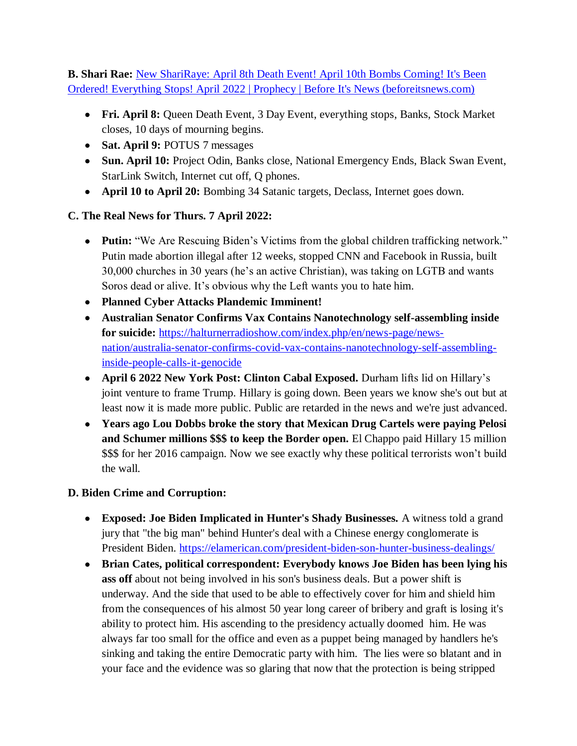**B. Shari Rae:** [New ShariRaye: April 8th Death Event! April 10th Bombs Coming! It's Been](https://beforeitsnews.com/prophecy/2022/04/new-shariraye-april-8th-death-event-its-been-ordered-everything-stops-april-2022-2529511.html)  Ordered! Everything Stops! April [2022 | Prophecy | Before It's News \(beforeitsnews.com\)](https://beforeitsnews.com/prophecy/2022/04/new-shariraye-april-8th-death-event-its-been-ordered-everything-stops-april-2022-2529511.html)

- **Fri. April 8:** Queen Death Event, 3 Day Event, everything stops, Banks, Stock Market closes, 10 days of mourning begins.
- **Sat. April 9:** POTUS 7 messages
- **Sun. April 10:** Project Odin, Banks close, National Emergency Ends, Black Swan Event, StarLink Switch, Internet cut off, Q phones.
- **April 10 to April 20:** Bombing 34 Satanic targets, Declass, Internet goes down.

# **C. The Real News for Thurs. 7 April 2022:**

- **Putin:** "We Are Rescuing Biden's Victims from the global children trafficking network." Putin made abortion illegal after 12 weeks, stopped CNN and Facebook in Russia, built 30,000 churches in 30 years (he's an active Christian), was taking on LGTB and wants Soros dead or alive. It's obvious why the Left wants you to hate him.
- **Planned Cyber Attacks Plandemic Imminent!**
- **Australian Senator Confirms Vax Contains Nanotechnology self-assembling inside for suicide:** [https://halturnerradioshow.com/index.php/en/news-page/news](https://halturnerradioshow.com/index.php/en/news-page/news-nation/australia-senator-confirms-covid-vax-contains-nanotechnology-self-assembling-inside-people-calls-it-genocide)[nation/australia-senator-confirms-covid-vax-contains-nanotechnology-self-assembling](https://halturnerradioshow.com/index.php/en/news-page/news-nation/australia-senator-confirms-covid-vax-contains-nanotechnology-self-assembling-inside-people-calls-it-genocide)[inside-people-calls-it-genocide](https://halturnerradioshow.com/index.php/en/news-page/news-nation/australia-senator-confirms-covid-vax-contains-nanotechnology-self-assembling-inside-people-calls-it-genocide)
- **April 6 2022 New York Post: Clinton Cabal Exposed.** Durham lifts lid on Hillary's joint venture to frame Trump. Hillary is going down. Been years we know she's out but at least now it is made more public. Public are retarded in the news and we're just advanced.
- **Years ago Lou Dobbs broke the story that Mexican Drug Cartels were paying Pelosi and Schumer millions \$\$\$ to keep the Border open.** El Chappo paid Hillary 15 million \$\$\$ for her 2016 campaign. Now we see exactly why these political terrorists won't build the wall.

## **D. Biden Crime and Corruption:**

- **Exposed: Joe Biden Implicated in Hunter's Shady Businesses.** A witness told a grand jury that "the big man" behind Hunter's deal with a Chinese energy conglomerate is President Biden.<https://elamerican.com/president-biden-son-hunter-business-dealings/>
- **Brian Cates, political correspondent: Everybody knows Joe Biden has been lying his ass off** about not being involved in his son's business deals. But a power shift is underway. And the side that used to be able to effectively cover for him and shield him from the consequences of his almost 50 year long career of bribery and graft is losing it's ability to protect him. His ascending to the presidency actually doomed him. He was always far too small for the office and even as a puppet being managed by handlers he's sinking and taking the entire Democratic party with him. The lies were so blatant and in your face and the evidence was so glaring that now that the protection is being stripped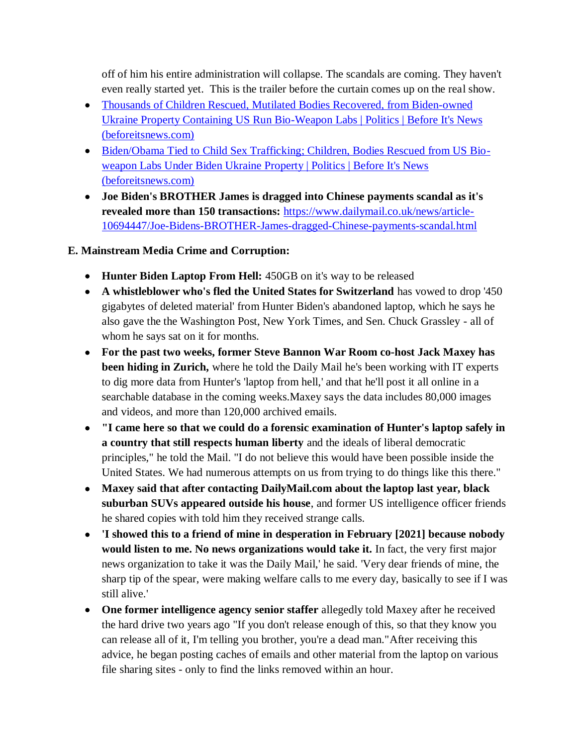off of him his entire administration will collapse. The scandals are coming. They haven't even really started yet. This is the trailer before the curtain comes up on the real show.

- [Thousands of Children Rescued, Mutilated Bodies Recovered, from Biden-owned](https://beforeitsnews.com/politics/2022/04/thousands-of-children-rescued-mutilated-bodies-recovered-from-biden-owned-ukraine-property-containing-us-run-bio-weapon-labs-3259889.html)  [Ukraine Property Containing US Run Bio-Weapon Labs | Politics | Before It's News](https://beforeitsnews.com/politics/2022/04/thousands-of-children-rescued-mutilated-bodies-recovered-from-biden-owned-ukraine-property-containing-us-run-bio-weapon-labs-3259889.html)  [\(beforeitsnews.com\)](https://beforeitsnews.com/politics/2022/04/thousands-of-children-rescued-mutilated-bodies-recovered-from-biden-owned-ukraine-property-containing-us-run-bio-weapon-labs-3259889.html)
- [Biden/Obama Tied to Child Sex Trafficking; Children, Bodies Rescued from US Bio](https://beforeitsnews.com/politics/2022/04/bidenobama-tied-to-child-sex-trafficking-children-bodies-rescued-from-us-bio-weapon-labs-under-biden-ukraine-property-3259928.html)[weapon Labs Under Biden Ukraine Property | Politics | Before It's News](https://beforeitsnews.com/politics/2022/04/bidenobama-tied-to-child-sex-trafficking-children-bodies-rescued-from-us-bio-weapon-labs-under-biden-ukraine-property-3259928.html)  [\(beforeitsnews.com\)](https://beforeitsnews.com/politics/2022/04/bidenobama-tied-to-child-sex-trafficking-children-bodies-rescued-from-us-bio-weapon-labs-under-biden-ukraine-property-3259928.html)
- **Joe Biden's BROTHER James is dragged into Chinese payments scandal as it's revealed more than 150 transactions:** [https://www.dailymail.co.uk/news/article-](https://www.dailymail.co.uk/news/article-10694447/Joe-Bidens-BROTHER-James-dragged-Chinese-payments-scandal.html)[10694447/Joe-Bidens-BROTHER-James-dragged-Chinese-payments-scandal.html](https://www.dailymail.co.uk/news/article-10694447/Joe-Bidens-BROTHER-James-dragged-Chinese-payments-scandal.html)

## **E. Mainstream Media Crime and Corruption:**

- **Hunter Biden Laptop From Hell:** 450GB on it's way to be released
- **A whistleblower who's fled the United States for Switzerland** has vowed to drop '450 gigabytes of deleted material' from Hunter Biden's abandoned laptop, which he says he also gave the the Washington Post, New York Times, and Sen. Chuck Grassley - all of whom he says sat on it for months.
- **For the past two weeks, former Steve Bannon War Room co-host Jack Maxey has been hiding in Zurich,** where he told the Daily Mail he's been working with IT experts to dig more data from Hunter's 'laptop from hell,' and that he'll post it all online in a searchable database in the coming weeks.Maxey says the data includes 80,000 images and videos, and more than 120,000 archived emails.
- **"I came here so that we could do a forensic examination of Hunter's laptop safely in a country that still respects human liberty** and the ideals of liberal democratic principles," he told the Mail. "I do not believe this would have been possible inside the United States. We had numerous attempts on us from trying to do things like this there."
- **Maxey said that after contacting DailyMail.com about the laptop last year, black suburban SUVs appeared outside his house**, and former US intelligence officer friends he shared copies with told him they received strange calls.
- **'I showed this to a friend of mine in desperation in February [2021] because nobody would listen to me. No news organizations would take it.** In fact, the very first major news organization to take it was the Daily Mail,' he said. 'Very dear friends of mine, the sharp tip of the spear, were making welfare calls to me every day, basically to see if I was still alive.'
- **One former intelligence agency senior staffer** allegedly told Maxey after he received the hard drive two years ago "If you don't release enough of this, so that they know you can release all of it, I'm telling you brother, you're a dead man."After receiving this advice, he began posting caches of emails and other material from the laptop on various file sharing sites - only to find the links removed within an hour.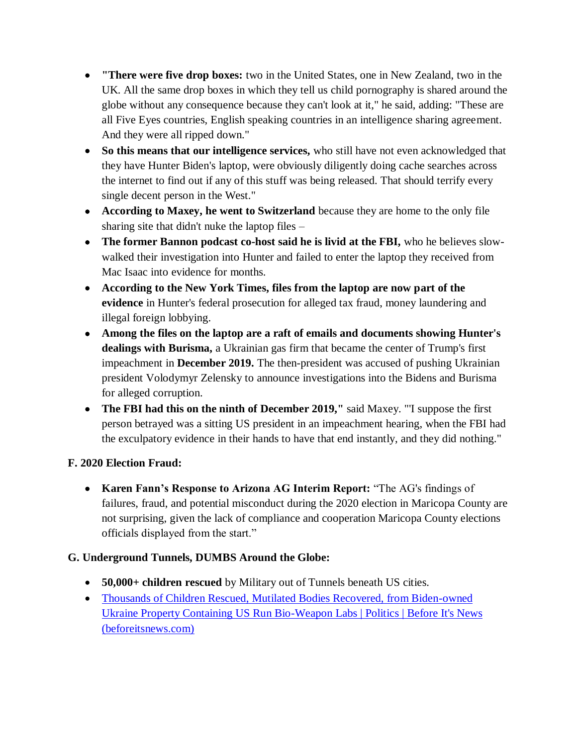- **"There were five drop boxes:** two in the United States, one in New Zealand, two in the UK. All the same drop boxes in which they tell us child pornography is shared around the globe without any consequence because they can't look at it," he said, adding: "These are all Five Eyes countries, English speaking countries in an intelligence sharing agreement. And they were all ripped down."
- **So this means that our intelligence services,** who still have not even acknowledged that they have Hunter Biden's laptop, were obviously diligently doing cache searches across the internet to find out if any of this stuff was being released. That should terrify every single decent person in the West."
- **According to Maxey, he went to Switzerland** because they are home to the only file sharing site that didn't nuke the laptop files –
- **The former Bannon podcast co-host said he is livid at the FBI,** who he believes slowwalked their investigation into Hunter and failed to enter the laptop they received from Mac Isaac into evidence for months.
- **According to the New York Times, files from the laptop are now part of the evidence** in Hunter's federal prosecution for alleged tax fraud, money laundering and illegal foreign lobbying.
- **Among the files on the laptop are a raft of emails and documents showing Hunter's dealings with Burisma,** a Ukrainian gas firm that became the center of Trump's first impeachment in **December 2019.** The then-president was accused of pushing Ukrainian president Volodymyr Zelensky to announce investigations into the Bidens and Burisma for alleged corruption.
- **The FBI had this on the ninth of December 2019,"** said Maxey. "'I suppose the first person betrayed was a sitting US president in an impeachment hearing, when the FBI had the exculpatory evidence in their hands to have that end instantly, and they did nothing."

## **F. 2020 Election Fraud:**

 **Karen Fann's Response to Arizona AG Interim Report:** "The AG's findings of failures, fraud, and potential misconduct during the 2020 election in Maricopa County are not surprising, given the lack of compliance and cooperation Maricopa County elections officials displayed from the start."

# **G. Underground Tunnels, DUMBS Around the Globe:**

- **50,000+ children rescued** by Military out of Tunnels beneath US cities.
- [Thousands of Children Rescued, Mutilated Bodies Recovered, from Biden-owned](https://beforeitsnews.com/politics/2022/04/thousands-of-children-rescued-mutilated-bodies-recovered-from-biden-owned-ukraine-property-containing-us-run-bio-weapon-labs-3259889.html)  [Ukraine Property Containing US Run Bio-Weapon Labs | Politics | Before It's News](https://beforeitsnews.com/politics/2022/04/thousands-of-children-rescued-mutilated-bodies-recovered-from-biden-owned-ukraine-property-containing-us-run-bio-weapon-labs-3259889.html)  [\(beforeitsnews.com\)](https://beforeitsnews.com/politics/2022/04/thousands-of-children-rescued-mutilated-bodies-recovered-from-biden-owned-ukraine-property-containing-us-run-bio-weapon-labs-3259889.html)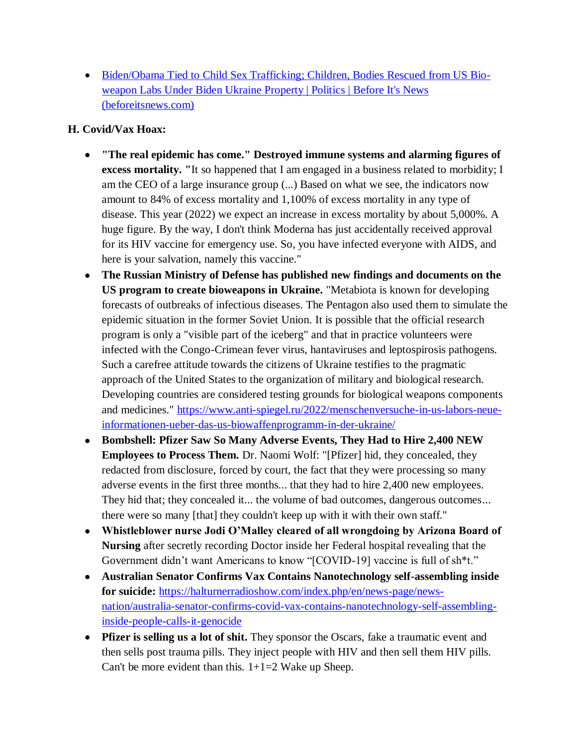[Biden/Obama Tied to Child Sex Trafficking; Children, Bodies](https://beforeitsnews.com/politics/2022/04/bidenobama-tied-to-child-sex-trafficking-children-bodies-rescued-from-us-bio-weapon-labs-under-biden-ukraine-property-3259928.html) Rescued from US Bio[weapon Labs Under Biden Ukraine Property | Politics | Before It's News](https://beforeitsnews.com/politics/2022/04/bidenobama-tied-to-child-sex-trafficking-children-bodies-rescued-from-us-bio-weapon-labs-under-biden-ukraine-property-3259928.html)  [\(beforeitsnews.com\)](https://beforeitsnews.com/politics/2022/04/bidenobama-tied-to-child-sex-trafficking-children-bodies-rescued-from-us-bio-weapon-labs-under-biden-ukraine-property-3259928.html)

## **H. Covid/Vax Hoax:**

- **"The real epidemic has come." Destroyed immune systems and alarming figures of excess mortality. "**It so happened that I am engaged in a business related to morbidity; I am the CEO of a large insurance group (...) Based on what we see, the indicators now amount to 84% of excess mortality and 1,100% of excess mortality in any type of disease. This year (2022) we expect an increase in excess mortality by about 5,000%. A huge figure. By the way, I don't think Moderna has just accidentally received approval for its HIV vaccine for emergency use. So, you have infected everyone with AIDS, and here is your salvation, namely this vaccine."
- **The Russian Ministry of Defense has published new findings and documents on the US program to create bioweapons in Ukraine.** "Metabiota is known for developing forecasts of outbreaks of infectious diseases. The Pentagon also used them to simulate the epidemic situation in the former Soviet Union. It is possible that the official research program is only a "visible part of the iceberg" and that in practice volunteers were infected with the Congo-Crimean fever virus, hantaviruses and leptospirosis pathogens. Such a carefree attitude towards the citizens of Ukraine testifies to the pragmatic approach of the United States to the organization of military and biological research. Developing countries are considered testing grounds for biological weapons components and medicines." [https://www.anti-spiegel.ru/2022/menschenversuche-in-us-labors-neue](https://www.anti-spiegel.ru/2022/menschenversuche-in-us-labors-neue-informationen-ueber-das-us-biowaffenprogramm-in-der-ukraine/)[informationen-ueber-das-us-biowaffenprogramm-in-der-ukraine/](https://www.anti-spiegel.ru/2022/menschenversuche-in-us-labors-neue-informationen-ueber-das-us-biowaffenprogramm-in-der-ukraine/)
- **Bombshell: Pfizer Saw So Many Adverse Events, They Had to Hire 2,400 NEW Employees to Process Them.** Dr. Naomi Wolf: "[Pfizer] hid, they concealed, they redacted from disclosure, forced by court, the fact that they were processing so many adverse events in the first three months... that they had to hire 2,400 new employees. They hid that; they concealed it... the volume of bad outcomes, dangerous outcomes... there were so many [that] they couldn't keep up with it with their own staff."
- **Whistleblower nurse Jodi O'Malley cleared of all wrongdoing by Arizona Board of Nursing** after secretly recording Doctor inside her Federal hospital revealing that the Government didn't want Americans to know "[COVID-19] vaccine is full of sh\*t."
- **Australian Senator Confirms Vax Contains Nanotechnology self-assembling inside for suicide:** [https://halturnerradioshow.com/index.php/en/news-page/news](https://halturnerradioshow.com/index.php/en/news-page/news-nation/australia-senator-confirms-covid-vax-contains-nanotechnology-self-assembling-inside-people-calls-it-genocide)[nation/australia-senator-confirms-covid-vax-contains-nanotechnology-self-assembling](https://halturnerradioshow.com/index.php/en/news-page/news-nation/australia-senator-confirms-covid-vax-contains-nanotechnology-self-assembling-inside-people-calls-it-genocide)[inside-people-calls-it-genocide](https://halturnerradioshow.com/index.php/en/news-page/news-nation/australia-senator-confirms-covid-vax-contains-nanotechnology-self-assembling-inside-people-calls-it-genocide)
- **Pfizer is selling us a lot of shit.** They sponsor the Oscars, fake a traumatic event and then sells post trauma pills. They inject people with HIV and then sell them HIV pills. Can't be more evident than this.  $1+1=2$  Wake up Sheep.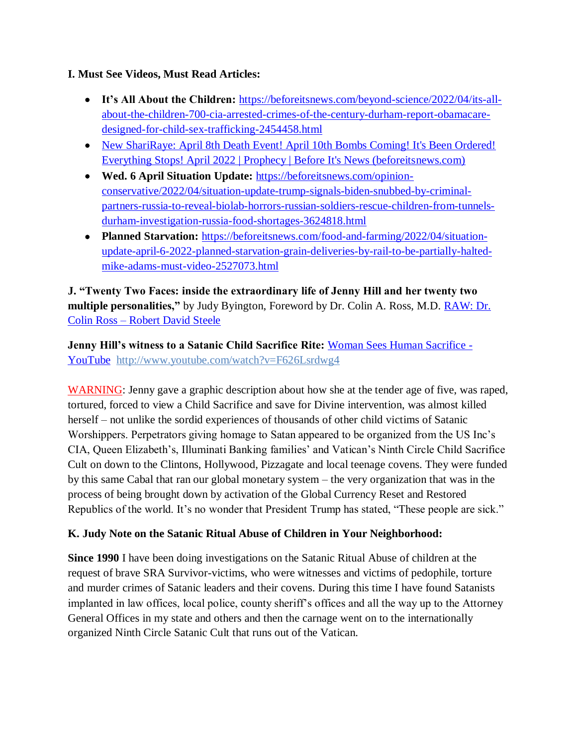### **I. Must See Videos, Must Read Articles:**

- **It's All About the Children:** [https://beforeitsnews.com/beyond-science/2022/04/its-all](https://beforeitsnews.com/beyond-science/2022/04/its-all-about-the-children-700-cia-arrested-crimes-of-the-century-durham-report-obamacare-designed-for-child-sex-trafficking-2454458.html)[about-the-children-700-cia-arrested-crimes-of-the-century-durham-report-obamacare](https://beforeitsnews.com/beyond-science/2022/04/its-all-about-the-children-700-cia-arrested-crimes-of-the-century-durham-report-obamacare-designed-for-child-sex-trafficking-2454458.html)[designed-for-child-sex-trafficking-2454458.html](https://beforeitsnews.com/beyond-science/2022/04/its-all-about-the-children-700-cia-arrested-crimes-of-the-century-durham-report-obamacare-designed-for-child-sex-trafficking-2454458.html)
- [New ShariRaye: April 8th Death Event! April 10th Bombs Coming! It's Been Ordered!](https://beforeitsnews.com/prophecy/2022/04/new-shariraye-april-8th-death-event-its-been-ordered-everything-stops-april-2022-2529511.html)  [Everything Stops! April 2022 | Prophecy | Before It's News \(beforeitsnews.com\)](https://beforeitsnews.com/prophecy/2022/04/new-shariraye-april-8th-death-event-its-been-ordered-everything-stops-april-2022-2529511.html)
- **Wed. 6 April Situation Update:** [https://beforeitsnews.com/opinion](https://beforeitsnews.com/opinion-conservative/2022/04/situation-update-trump-signals-biden-snubbed-by-criminal-partners-russia-to-reveal-biolab-horrors-russian-soldiers-rescue-children-from-tunnels-durham-investigation-russia-food-shortages-3624818.html)[conservative/2022/04/situation-update-trump-signals-biden-snubbed-by-criminal](https://beforeitsnews.com/opinion-conservative/2022/04/situation-update-trump-signals-biden-snubbed-by-criminal-partners-russia-to-reveal-biolab-horrors-russian-soldiers-rescue-children-from-tunnels-durham-investigation-russia-food-shortages-3624818.html)[partners-russia-to-reveal-biolab-horrors-russian-soldiers-rescue-children-from-tunnels](https://beforeitsnews.com/opinion-conservative/2022/04/situation-update-trump-signals-biden-snubbed-by-criminal-partners-russia-to-reveal-biolab-horrors-russian-soldiers-rescue-children-from-tunnels-durham-investigation-russia-food-shortages-3624818.html)[durham-investigation-russia-food-shortages-3624818.html](https://beforeitsnews.com/opinion-conservative/2022/04/situation-update-trump-signals-biden-snubbed-by-criminal-partners-russia-to-reveal-biolab-horrors-russian-soldiers-rescue-children-from-tunnels-durham-investigation-russia-food-shortages-3624818.html)
- **Planned Starvation:** [https://beforeitsnews.com/food-and-farming/2022/04/situation](https://beforeitsnews.com/food-and-farming/2022/04/situation-update-april-6-2022-planned-starvation-grain-deliveries-by-rail-to-be-partially-halted-mike-adams-must-video-2527073.html)[update-april-6-2022-planned-starvation-grain-deliveries-by-rail-to-be-partially-halted](https://beforeitsnews.com/food-and-farming/2022/04/situation-update-april-6-2022-planned-starvation-grain-deliveries-by-rail-to-be-partially-halted-mike-adams-must-video-2527073.html)[mike-adams-must-video-2527073.html](https://beforeitsnews.com/food-and-farming/2022/04/situation-update-april-6-2022-planned-starvation-grain-deliveries-by-rail-to-be-partially-halted-mike-adams-must-video-2527073.html)

**J. "Twenty Two Faces: inside the extraordinary life of Jenny Hill and her twenty two multiple personalities,"** by Judy Byington, Foreword by Dr. Colin A. Ross, M.D. [RAW: Dr.](https://robertdavidsteele.com/dr-colin-ross/)  Colin Ross – [Robert David Steele](https://robertdavidsteele.com/dr-colin-ross/)

**Jenny Hill's witness to a Satanic Child Sacrifice Rite: [Woman Sees Human Sacrifice -](https://www.youtube.com/watch?v=F626Lsrdwg4)** [YouTube http://www.youtube.com/watch?v=F626Lsrdwg4](https://www.youtube.com/watch?v=F626Lsrdwg4)

WARNING: Jenny gave a graphic description about how she at the tender age of five, was raped, tortured, forced to view a Child Sacrifice and save for Divine intervention, was almost killed herself – not unlike the sordid experiences of thousands of other child victims of Satanic Worshippers. Perpetrators giving homage to Satan appeared to be organized from the US Inc's CIA, Queen Elizabeth's, Illuminati Banking families' and Vatican's Ninth Circle Child Sacrifice Cult on down to the Clintons, Hollywood, Pizzagate and local teenage covens. They were funded by this same Cabal that ran our global monetary system – the very organization that was in the process of being brought down by activation of the Global Currency Reset and Restored Republics of the world. It's no wonder that President Trump has stated, "These people are sick."

## **K. Judy Note on the Satanic Ritual Abuse of Children in Your Neighborhood:**

**Since 1990** I have been doing investigations on the Satanic Ritual Abuse of children at the request of brave SRA Survivor-victims, who were witnesses and victims of pedophile, torture and murder crimes of Satanic leaders and their covens. During this time I have found Satanists implanted in law offices, local police, county sheriff's offices and all the way up to the Attorney General Offices in my state and others and then the carnage went on to the internationally organized Ninth Circle Satanic Cult that runs out of the Vatican.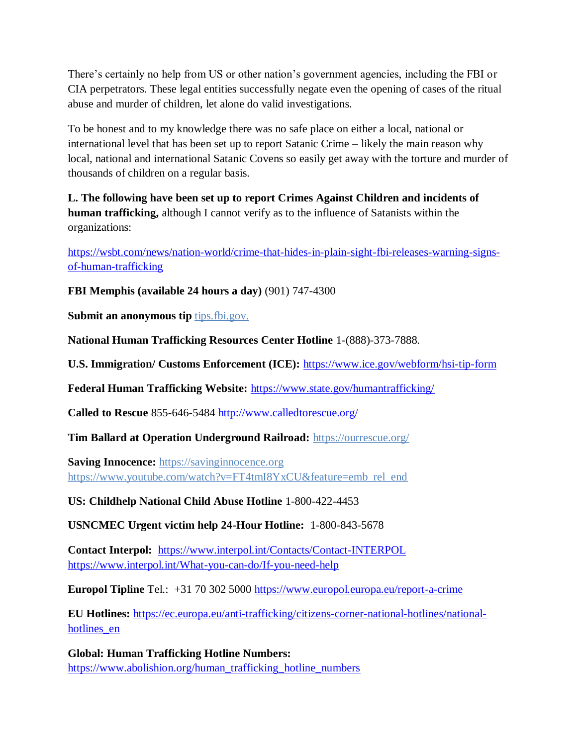There's certainly no help from US or other nation's government agencies, including the FBI or CIA perpetrators. These legal entities successfully negate even the opening of cases of the ritual abuse and murder of children, let alone do valid investigations.

To be honest and to my knowledge there was no safe place on either a local, national or international level that has been set up to report Satanic Crime – likely the main reason why local, national and international Satanic Covens so easily get away with the torture and murder of thousands of children on a regular basis.

**L. The following have been set up to report Crimes Against Children and incidents of human trafficking,** although I cannot verify as to the influence of Satanists within the organizations:

[https://wsbt.com/news/nation-world/crime-that-hides-in-plain-sight-fbi-releases-warning-signs](https://wsbt.com/news/nation-world/crime-that-hides-in-plain-sight-fbi-releases-warning-signs-of-human-trafficking?video=e56ba52a1b9d45ad8c8a033fd83fe480&jwsource=cl)[of-human-trafficking](https://wsbt.com/news/nation-world/crime-that-hides-in-plain-sight-fbi-releases-warning-signs-of-human-trafficking?video=e56ba52a1b9d45ad8c8a033fd83fe480&jwsource=cl)

**FBI Memphis (available 24 hours a day)** (901) 747-4300

**Submit an anonymous tip tips.fbi.gov.** 

**National Human Trafficking Resources Center Hotline** 1-(888)-373-7888.

**U.S. Immigration/ Customs Enforcement (ICE):** <https://www.ice.gov/webform/hsi-tip-form>

**Federal Human Trafficking Website:** <https://www.state.gov/humantrafficking/>

**Called to Rescue** 855-646-5484<http://www.calledtorescue.org/>

**Tim Ballard at Operation Underground Railroad:** <https://ourrescue.org/>

**Saving Innocence:** [https://savinginnocence.org](https://savinginnocence.org/) [https://www.youtube.com/watch?v=FT4tmI8YxCU&feature=emb\\_rel\\_end](https://www.youtube.com/watch?v=FT4tmI8YxCU&feature=emb_rel_end)

**US: Childhelp National Child Abuse Hotline** 1-800-422-4453

**USNCMEC Urgent victim help 24-Hour Hotline:** 1-800-843-5678

**Contact Interpol:** <https://www.interpol.int/Contacts/Contact-INTERPOL> <https://www.interpol.int/What-you-can-do/If-you-need-help>

**Europol Tipline** Tel.: +31 70 302 5000<https://www.europol.europa.eu/report-a-crime>

**EU Hotlines:** [https://ec.europa.eu/anti-trafficking/citizens-corner-national-hotlines/national](https://ec.europa.eu/anti-trafficking/citizens-corner-national-hotlines/national-hotlines_en)hotlines en

**Global: Human Trafficking Hotline Numbers:** [https://www.abolishion.org/human\\_trafficking\\_hotline\\_numbers](https://www.abolishion.org/human_trafficking_hotline_numbers)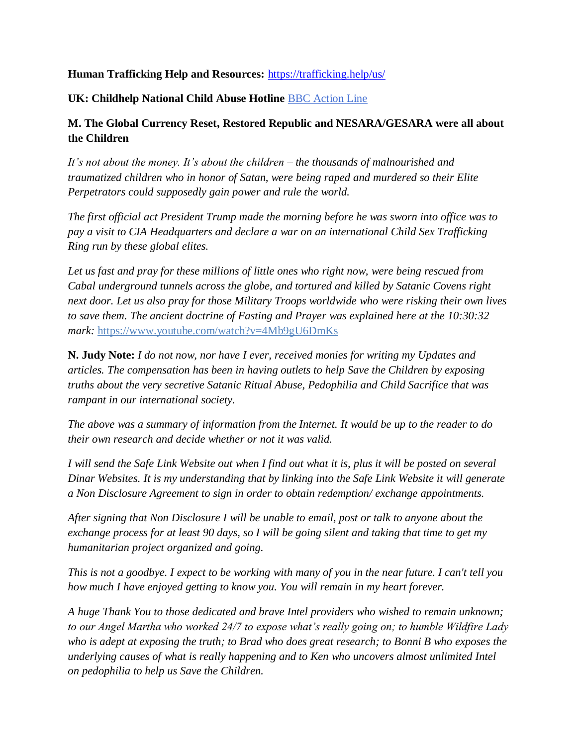### **Human Trafficking Help and Resources:** <https://trafficking.help/us/>

#### **UK: Childhelp National Child Abuse Hotline** [BBC Action Line](https://www.bbc.co.uk/actionline)

### **M. The Global Currency Reset, Restored Republic and NESARA/GESARA were all about the Children**

*It's not about the money. It's about the children – the thousands of malnourished and traumatized children who in honor of Satan, were being raped and murdered so their Elite Perpetrators could supposedly gain power and rule the world.* 

*The first official act President Trump made the morning before he was sworn into office was to pay a visit to CIA Headquarters and declare a war on an international Child Sex Trafficking Ring run by these global elites.* 

*Let us fast and pray for these millions of little ones who right now, were being rescued from Cabal underground tunnels across the globe, and tortured and killed by Satanic Covens right next door. Let us also pray for those Military Troops worldwide who were risking their own lives to save them. The ancient doctrine of Fasting and Prayer was explained here at the 10:30:32 mark:* <https://www.youtube.com/watch?v=4Mb9gU6DmKs>

**N. Judy Note:** *I do not now, nor have I ever, received monies for writing my Updates and articles. The compensation has been in having outlets to help Save the Children by exposing truths about the very secretive Satanic Ritual Abuse, Pedophilia and Child Sacrifice that was rampant in our international society.*

*The above was a summary of information from the Internet. It would be up to the reader to do their own research and decide whether or not it was valid.*

*I will send the Safe Link Website out when I find out what it is, plus it will be posted on several Dinar Websites. It is my understanding that by linking into the Safe Link Website it will generate a Non Disclosure Agreement to sign in order to obtain redemption/ exchange appointments.*

*After signing that Non Disclosure I will be unable to email, post or talk to anyone about the exchange process for at least 90 days, so I will be going silent and taking that time to get my humanitarian project organized and going.*

*This is not a goodbye. I expect to be working with many of you in the near future. I can't tell you how much I have enjoyed getting to know you. You will remain in my heart forever.*

*A huge Thank You to those dedicated and brave Intel providers who wished to remain unknown; to our Angel Martha who worked 24/7 to expose what's really going on; to humble Wildfire Lady who is adept at exposing the truth; to Brad who does great research; to Bonni B who exposes the underlying causes of what is really happening and to Ken who uncovers almost unlimited Intel on pedophilia to help us Save the Children.*